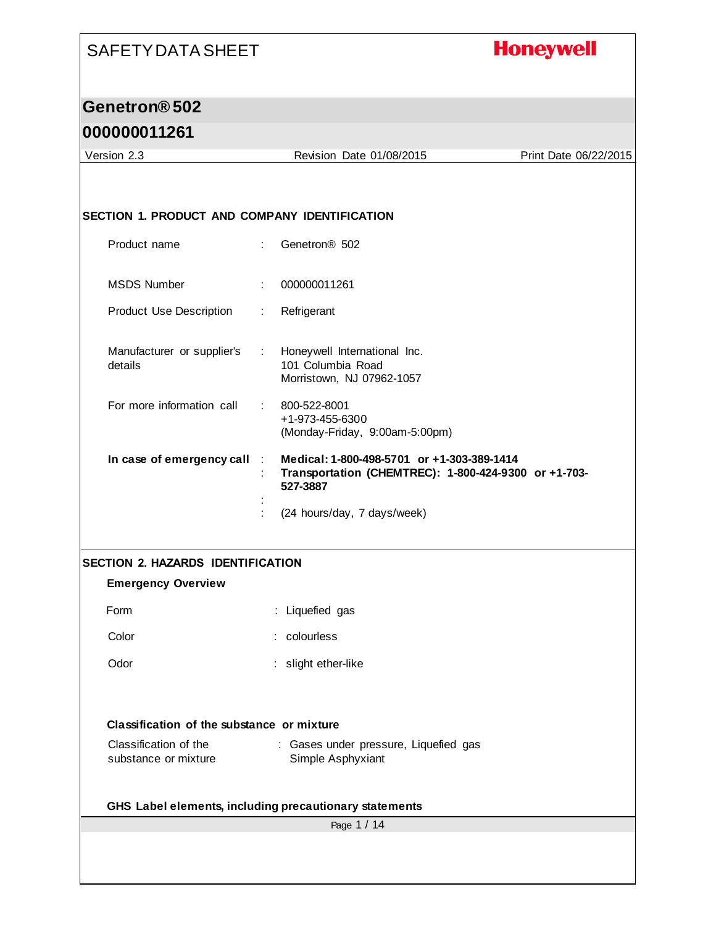#### **Honeywell**

#### **Genetron® 502**

#### **000000011261**

Page 1 / 14 Version 2.3 Revision Date 01/08/2015 Print Date 06/22/2015 **SECTION 1. PRODUCT AND COMPANY IDENTIFICATION** Product name : Genetron® 502 MSDS Number : 000000011261 Product Use Description : Refrigerant Manufacturer or supplier's details : Honeywell International Inc. 101 Columbia Road Morristown, NJ 07962-1057 For more information call : 800-522-8001 +1-973-455-6300 (Monday-Friday, 9:00am-5:00pm) **In case of emergency call** : **Medical: 1-800-498-5701 or +1-303-389-1414** : **Transportation (CHEMTREC): 1-800-424-9300 or +1-703- 527-3887** : : (24 hours/day, 7 days/week) **SECTION 2. HAZARDS IDENTIFICATION Emergency Overview** Form : Liquefied gas Color : colourless Odor : slight ether-like **Classification of the substance or mixture** Classification of the substance or mixture : Gases under pressure, Liquefied gas Simple Asphyxiant **GHS Label elements, including precautionary statements**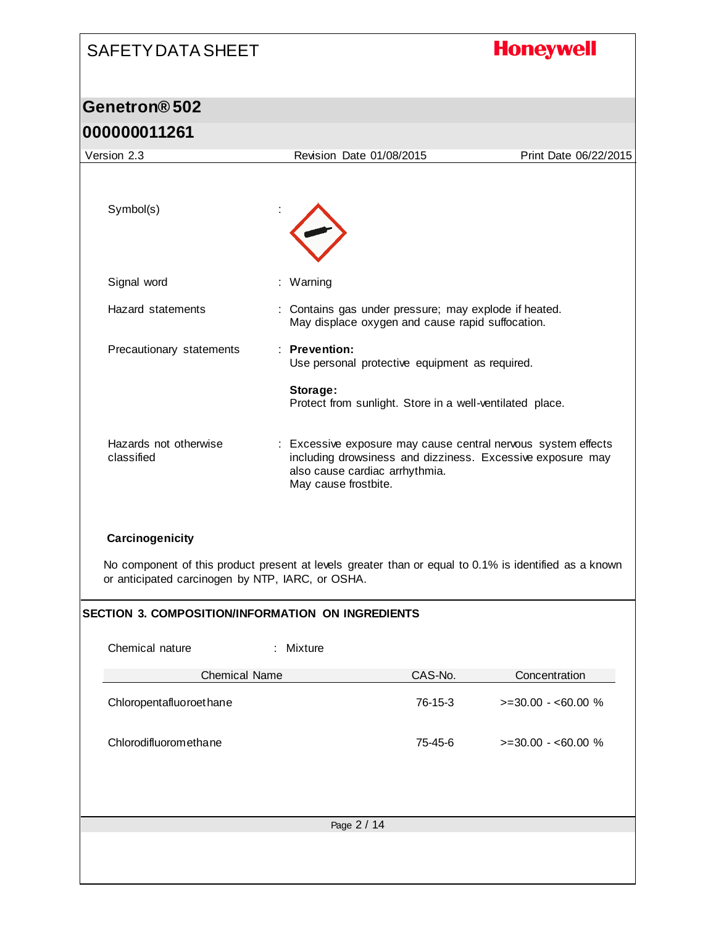# **Honeywell**

#### **Genetron® 502 000000011261**

|                                                                                                                                                                              | <u>UUUUUUTTZOT</u>                                       |                                                                                                           |         |                                                                                                                             |  |
|------------------------------------------------------------------------------------------------------------------------------------------------------------------------------|----------------------------------------------------------|-----------------------------------------------------------------------------------------------------------|---------|-----------------------------------------------------------------------------------------------------------------------------|--|
|                                                                                                                                                                              | Version 2.3                                              | Revision Date 01/08/2015                                                                                  |         | Print Date 06/22/2015                                                                                                       |  |
|                                                                                                                                                                              | Symbol(s)                                                |                                                                                                           |         |                                                                                                                             |  |
|                                                                                                                                                                              |                                                          |                                                                                                           |         |                                                                                                                             |  |
|                                                                                                                                                                              | Signal word                                              | : Warning                                                                                                 |         |                                                                                                                             |  |
|                                                                                                                                                                              | Hazard statements                                        | : Contains gas under pressure; may explode if heated.<br>May displace oxygen and cause rapid suffocation. |         |                                                                                                                             |  |
|                                                                                                                                                                              | Precautionary statements                                 | : Prevention:<br>Use personal protective equipment as required.                                           |         |                                                                                                                             |  |
|                                                                                                                                                                              |                                                          | Storage:<br>Protect from sunlight. Store in a well-ventilated place.                                      |         |                                                                                                                             |  |
|                                                                                                                                                                              | Hazards not otherwise<br>classified                      | also cause cardiac arrhythmia.<br>May cause frostbite.                                                    |         | : Excessive exposure may cause central nervous system effects<br>including drowsiness and dizziness. Excessive exposure may |  |
| Carcinogenicity<br>No component of this product present at levels greater than or equal to 0.1% is identified as a known<br>or anticipated carcinogen by NTP, IARC, or OSHA. |                                                          |                                                                                                           |         |                                                                                                                             |  |
|                                                                                                                                                                              | <b>SECTION 3. COMPOSITION/INFORMATION ON INGREDIENTS</b> |                                                                                                           |         |                                                                                                                             |  |
|                                                                                                                                                                              | Chemical nature                                          | $:$ Mixture                                                                                               |         |                                                                                                                             |  |
|                                                                                                                                                                              | <b>Chemical Name</b>                                     |                                                                                                           | CAS-No. | Concentration                                                                                                               |  |
|                                                                                                                                                                              | Chloropentafluoroethane                                  |                                                                                                           | 76-15-3 | $>=$ 30.00 - <60.00 %                                                                                                       |  |
|                                                                                                                                                                              | Chlorodifluoromethane                                    |                                                                                                           | 75-45-6 | $>=$ 30.00 - <60.00 %                                                                                                       |  |
|                                                                                                                                                                              |                                                          |                                                                                                           |         |                                                                                                                             |  |
|                                                                                                                                                                              |                                                          | Page 2 / 14                                                                                               |         |                                                                                                                             |  |
|                                                                                                                                                                              |                                                          |                                                                                                           |         |                                                                                                                             |  |
|                                                                                                                                                                              |                                                          |                                                                                                           |         |                                                                                                                             |  |
|                                                                                                                                                                              |                                                          |                                                                                                           |         |                                                                                                                             |  |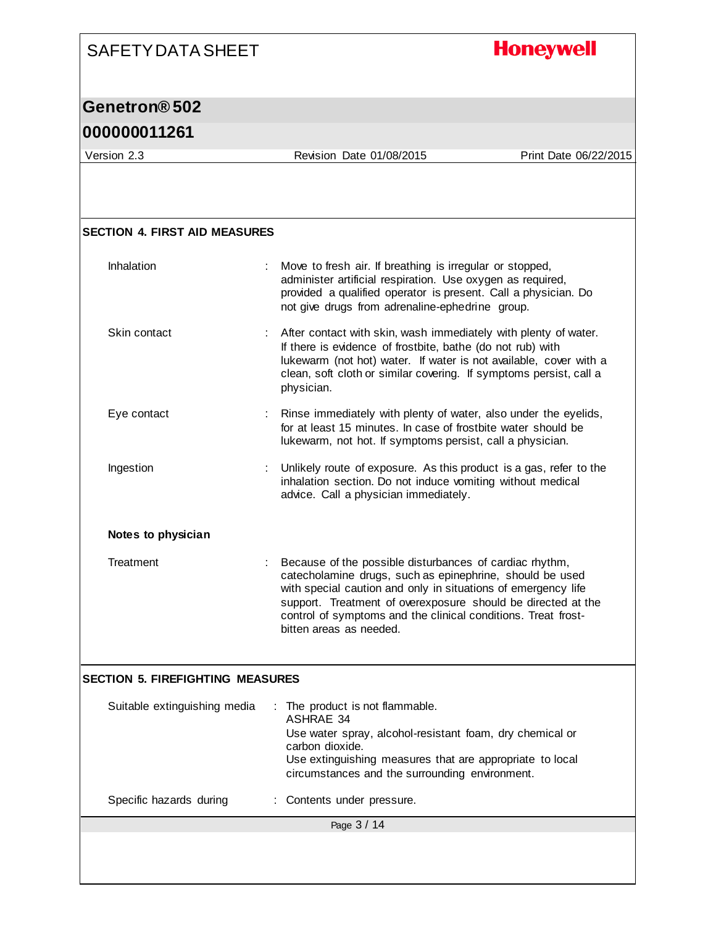#### **Honeywell**

#### **Genetron® 502**

#### **000000011261**

Page 3 / 14 Version 2.3 Revision Date 01/08/2015 Print Date 06/22/2015 **SECTION 4. FIRST AID MEASURES** Inhalation : Move to fresh air. If breathing is irregular or stopped, administer artificial respiration. Use oxygen as required, provided a qualified operator is present. Call a physician. Do not give drugs from adrenaline-ephedrine group. Skin contact : After contact with skin, wash immediately with plenty of water. If there is evidence of frostbite, bathe (do not rub) with lukewarm (not hot) water. If water is not available, cover with a clean, soft cloth or similar covering. If symptoms persist, call a physician. Eye contact : Rinse immediately with plenty of water, also under the eyelids, for at least 15 minutes. In case of frostbite water should be lukewarm, not hot. If symptoms persist, call a physician. Ingestion : Unlikely route of exposure. As this product is a gas, refer to the inhalation section. Do not induce vomiting without medical advice. Call a physician immediately. **Notes to physician** Treatment : Because of the possible disturbances of cardiac rhythm, catecholamine drugs, such as epinephrine, should be used with special caution and only in situations of emergency life support. Treatment of overexposure should be directed at the control of symptoms and the clinical conditions. Treat frostbitten areas as needed. **SECTION 5. FIREFIGHTING MEASURES** Suitable extinguishing media : The product is not flammable. ASHRAE 34 Use water spray, alcohol-resistant foam, dry chemical or carbon dioxide. Use extinguishing measures that are appropriate to local circumstances and the surrounding environment. Specific hazards during : Contents under pressure.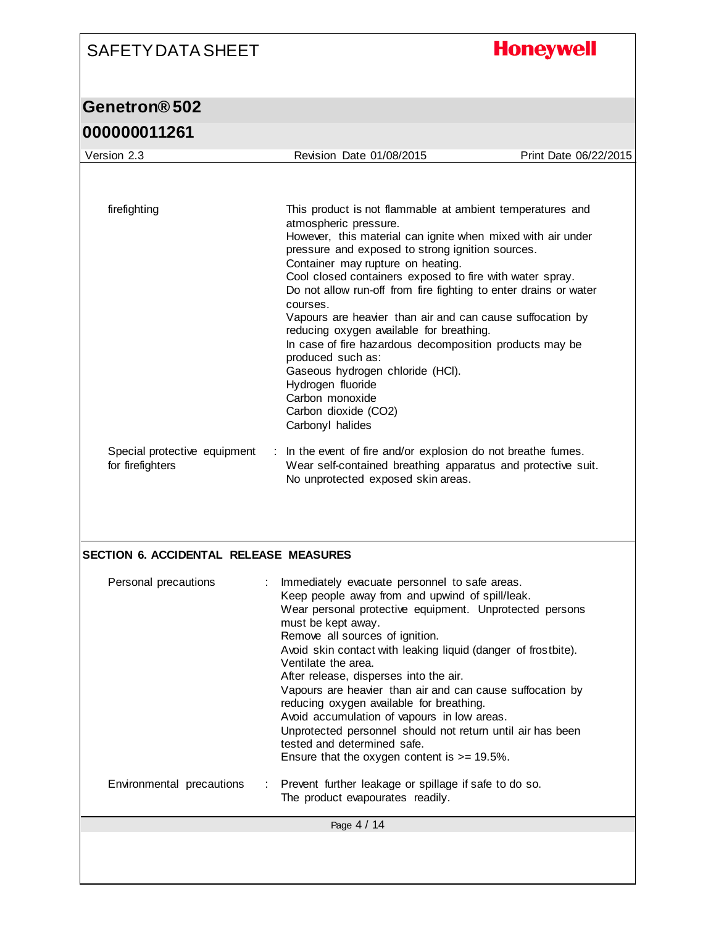# **Honeywell**

# **Genetron® 502**

| firefighting<br>This product is not flammable at ambient temperatures and<br>atmospheric pressure.<br>However, this material can ignite when mixed with air under<br>pressure and exposed to strong ignition sources.<br>Container may rupture on heating.<br>Cool closed containers exposed to fire with water spray.<br>Do not allow run-off from fire fighting to enter drains or water<br>courses.<br>Vapours are heavier than air and can cause suffocation by<br>reducing oxygen available for breathing.<br>In case of fire hazardous decomposition products may be<br>produced such as:<br>Gaseous hydrogen chloride (HCI).<br>Hydrogen fluoride<br>Carbon monoxide<br>Carbon dioxide (CO2)<br>Carbonyl halides<br>Special protective equipment<br>In the event of fire and/or explosion do not breathe fumes.<br>÷.<br>for firefighters<br>Wear self-contained breathing apparatus and protective suit.<br>No unprotected exposed skin areas.<br>Personal precautions<br>Immediately evacuate personnel to safe areas.<br>Keep people away from and upwind of spill/leak.<br>Wear personal protective equipment. Unprotected persons<br>must be kept away.<br>Remove all sources of ignition.<br>Avoid skin contact with leaking liquid (danger of frostbite).<br>Ventilate the area.<br>After release, disperses into the air.<br>Vapours are heavier than air and can cause suffocation by<br>reducing oxygen available for breathing.<br>Avoid accumulation of vapours in low areas.<br>Unprotected personnel should not return until air has been<br>tested and determined safe.<br>Ensure that the oxygen content is $>= 19.5\%$ .<br>Environmental precautions<br>Prevent further leakage or spillage if safe to do so. | Version 2.3 | Revision Date 01/08/2015         | Print Date 06/22/2015 |
|----------------------------------------------------------------------------------------------------------------------------------------------------------------------------------------------------------------------------------------------------------------------------------------------------------------------------------------------------------------------------------------------------------------------------------------------------------------------------------------------------------------------------------------------------------------------------------------------------------------------------------------------------------------------------------------------------------------------------------------------------------------------------------------------------------------------------------------------------------------------------------------------------------------------------------------------------------------------------------------------------------------------------------------------------------------------------------------------------------------------------------------------------------------------------------------------------------------------------------------------------------------------------------------------------------------------------------------------------------------------------------------------------------------------------------------------------------------------------------------------------------------------------------------------------------------------------------------------------------------------------------------------------------------------------------------------------------------------------------------|-------------|----------------------------------|-----------------------|
|                                                                                                                                                                                                                                                                                                                                                                                                                                                                                                                                                                                                                                                                                                                                                                                                                                                                                                                                                                                                                                                                                                                                                                                                                                                                                                                                                                                                                                                                                                                                                                                                                                                                                                                                        |             |                                  |                       |
| <b>SECTION 6. ACCIDENTAL RELEASE MEASURES</b>                                                                                                                                                                                                                                                                                                                                                                                                                                                                                                                                                                                                                                                                                                                                                                                                                                                                                                                                                                                                                                                                                                                                                                                                                                                                                                                                                                                                                                                                                                                                                                                                                                                                                          |             |                                  |                       |
|                                                                                                                                                                                                                                                                                                                                                                                                                                                                                                                                                                                                                                                                                                                                                                                                                                                                                                                                                                                                                                                                                                                                                                                                                                                                                                                                                                                                                                                                                                                                                                                                                                                                                                                                        |             |                                  |                       |
|                                                                                                                                                                                                                                                                                                                                                                                                                                                                                                                                                                                                                                                                                                                                                                                                                                                                                                                                                                                                                                                                                                                                                                                                                                                                                                                                                                                                                                                                                                                                                                                                                                                                                                                                        |             |                                  |                       |
|                                                                                                                                                                                                                                                                                                                                                                                                                                                                                                                                                                                                                                                                                                                                                                                                                                                                                                                                                                                                                                                                                                                                                                                                                                                                                                                                                                                                                                                                                                                                                                                                                                                                                                                                        |             |                                  |                       |
|                                                                                                                                                                                                                                                                                                                                                                                                                                                                                                                                                                                                                                                                                                                                                                                                                                                                                                                                                                                                                                                                                                                                                                                                                                                                                                                                                                                                                                                                                                                                                                                                                                                                                                                                        |             |                                  |                       |
| Page 4 / 14                                                                                                                                                                                                                                                                                                                                                                                                                                                                                                                                                                                                                                                                                                                                                                                                                                                                                                                                                                                                                                                                                                                                                                                                                                                                                                                                                                                                                                                                                                                                                                                                                                                                                                                            |             | The product evapourates readily. |                       |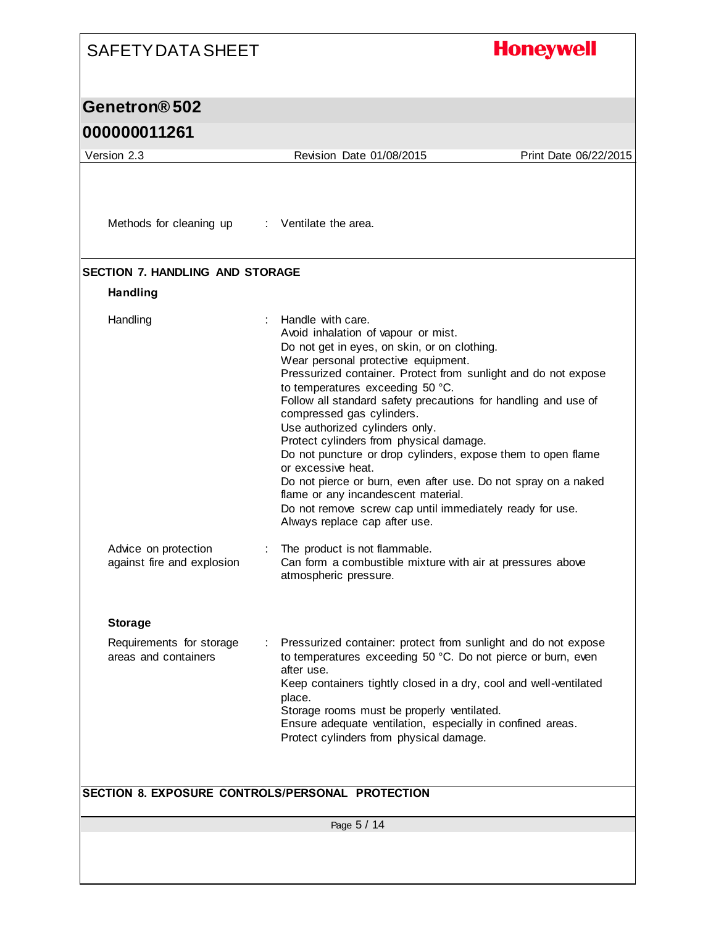#### **Honeywell** SAFETY DATA SHEET **Genetron® 502 000000011261** Version 2.3 Revision Date 01/08/2015 Print Date 06/22/2015 Methods for cleaning up : Ventilate the area. **SECTION 7. HANDLING AND STORAGE Handling** Handling : Handle with care. Avoid inhalation of vapour or mist. Do not get in eyes, on skin, or on clothing. Wear personal protective equipment. Pressurized container. Protect from sunlight and do not expose to temperatures exceeding 50 °C. Follow all standard safety precautions for handling and use of compressed gas cylinders. Use authorized cylinders only. Protect cylinders from physical damage. Do not puncture or drop cylinders, expose them to open flame or excessive heat. Do not pierce or burn, even after use. Do not spray on a naked flame or any incandescent material. Do not remove screw cap until immediately ready for use. Always replace cap after use. Advice on protection : The product is not flammable. against fire and explosion Can form a combustible mixture with air at pressures above atmospheric pressure. **Storage** Requirements for storage : Pressurized container: protect from sunlight and do not expose areas and containers to temperatures exceeding 50 °C. Do not pierce or burn, even after use. Keep containers tightly closed in a dry, cool and well-ventilated place. Storage rooms must be properly ventilated. Ensure adequate ventilation, especially in confined areas. Protect cylinders from physical damage. **SECTION 8. EXPOSURE CONTROLS/PERSONAL PROTECTION**Page 5 / 14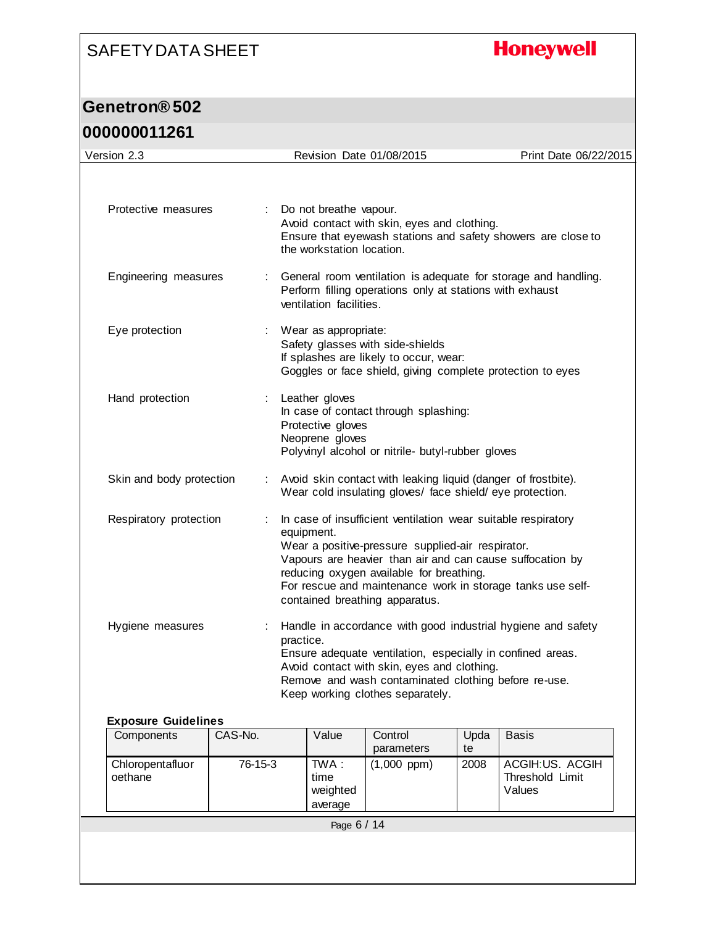## **Honeywell**

## **Genetron® 502**

## **000000011261**

| Version 2.3              |   | Revision Date 01/08/2015                                                                                                                                                                                                                                                                                                                  | Print Date 06/22/2015 |
|--------------------------|---|-------------------------------------------------------------------------------------------------------------------------------------------------------------------------------------------------------------------------------------------------------------------------------------------------------------------------------------------|-----------------------|
|                          |   |                                                                                                                                                                                                                                                                                                                                           |                       |
| Protective measures      |   | Do not breathe vapour.<br>Avoid contact with skin, eyes and clothing.<br>Ensure that eyewash stations and safety showers are close to<br>the workstation location.                                                                                                                                                                        |                       |
| Engineering measures     |   | General room ventilation is adequate for storage and handling.<br>Perform filling operations only at stations with exhaust<br>ventilation facilities.                                                                                                                                                                                     |                       |
| Eye protection           |   | Wear as appropriate:<br>Safety glasses with side-shields<br>If splashes are likely to occur, wear:<br>Goggles or face shield, giving complete protection to eyes                                                                                                                                                                          |                       |
| Hand protection          | ÷ | Leather gloves<br>In case of contact through splashing:<br>Protective gloves<br>Neoprene gloves<br>Polyvinyl alcohol or nitrile- butyl-rubber gloves                                                                                                                                                                                      |                       |
| Skin and body protection |   | Avoid skin contact with leaking liquid (danger of frostbite).<br>Wear cold insulating gloves/ face shield/eye protection.                                                                                                                                                                                                                 |                       |
| Respiratory protection   |   | In case of insufficient ventilation wear suitable respiratory<br>equipment.<br>Wear a positive-pressure supplied-air respirator.<br>Vapours are heavier than air and can cause suffocation by<br>reducing oxygen available for breathing.<br>For rescue and maintenance work in storage tanks use self-<br>contained breathing apparatus. |                       |
| Hygiene measures         |   | Handle in accordance with good industrial hygiene and safety<br>practice.<br>Ensure adequate ventilation, especially in confined areas.<br>Avoid contact with skin, eyes and clothing.<br>Remove and wash contaminated clothing before re-use.<br>Keep working clothes separately.                                                        |                       |

#### **Exposure Guidelines**

| Components                  | CAS-No. | Value                               | Control<br>parameters | Upda<br>te | <b>Basis</b>                                 |
|-----------------------------|---------|-------------------------------------|-----------------------|------------|----------------------------------------------|
| Chloropentafluor<br>oethane | 76-15-3 | TWA:<br>time<br>weighted<br>average | $(1,000$ ppm $)$      | 2008       | ACGIH:US. ACGIH<br>Threshold Limit<br>Values |
|                             |         | Page 6 / 14                         |                       |            |                                              |
|                             |         |                                     |                       |            |                                              |
|                             |         |                                     |                       |            |                                              |
|                             |         |                                     |                       |            |                                              |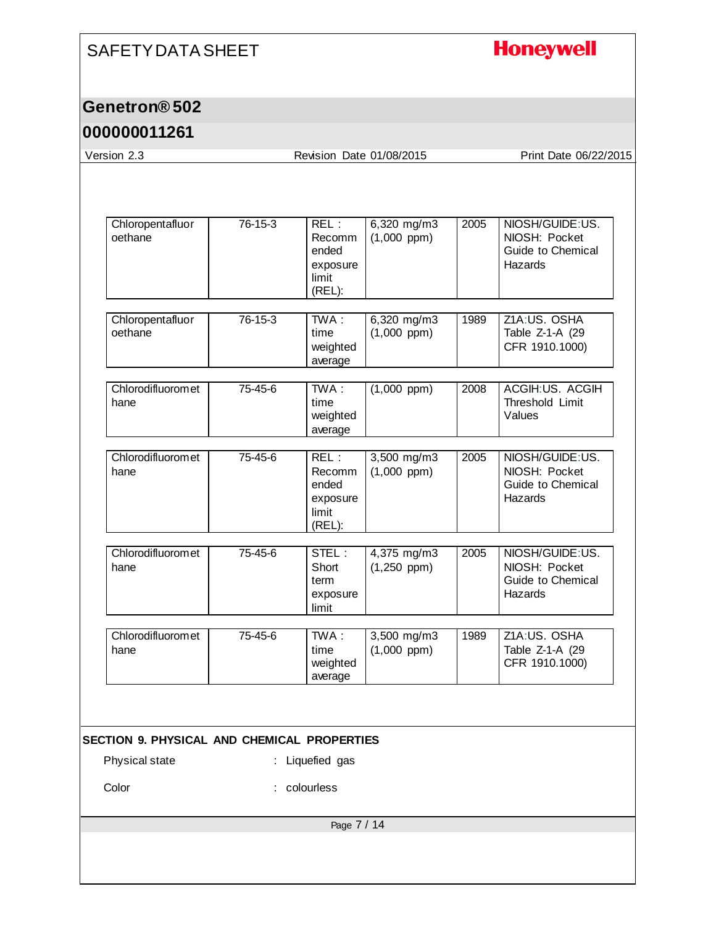# **Honeywell**

#### **Genetron® 502**

| 76-15-3<br>$REL$ :<br>6,320 mg/m3<br>NIOSH/GUIDE:US.<br>2005<br>$(1,000$ ppm)<br>NIOSH: Pocket<br>Recomm<br>Guide to Chemical<br>ended<br>Hazards<br>exposure<br>limit<br>(REL):<br>76-15-3<br>TWA:<br>Z1A:US. OSHA<br>6,320 mg/m3<br>1989<br>$(1,000$ ppm $)$<br>time<br>Table Z-1-A (29<br>CFR 1910.1000)<br>weighted<br>average<br>$TWA$ :<br>ACGIH:US. ACGIH<br>75-45-6<br>$(1,000$ ppm $)$<br>2008<br>Threshold Limit<br>time<br>weighted<br>Values<br>average<br>75-45-6<br>REL:<br>3,500 mg/m3<br>2005<br>NIOSH/GUIDE:US.<br>Recomm<br>$(1,000$ ppm $)$<br>NIOSH: Pocket<br>Guide to Chemical<br>ended<br>Hazards<br>exposure<br>limit<br>(REL):<br>75-45-6<br>STEL:<br>4,375 mg/m3<br>2005<br>NIOSH/GUIDE:US.<br>Short<br>$(1,250$ ppm)<br>NIOSH: Pocket<br>Guide to Chemical<br>term<br>Hazards<br>exposure<br>limit | Version 2.3                 |
|-------------------------------------------------------------------------------------------------------------------------------------------------------------------------------------------------------------------------------------------------------------------------------------------------------------------------------------------------------------------------------------------------------------------------------------------------------------------------------------------------------------------------------------------------------------------------------------------------------------------------------------------------------------------------------------------------------------------------------------------------------------------------------------------------------------------------------|-----------------------------|
|                                                                                                                                                                                                                                                                                                                                                                                                                                                                                                                                                                                                                                                                                                                                                                                                                               |                             |
|                                                                                                                                                                                                                                                                                                                                                                                                                                                                                                                                                                                                                                                                                                                                                                                                                               | Chloropentafluor<br>oethane |
|                                                                                                                                                                                                                                                                                                                                                                                                                                                                                                                                                                                                                                                                                                                                                                                                                               | Chloropentafluor<br>oethane |
|                                                                                                                                                                                                                                                                                                                                                                                                                                                                                                                                                                                                                                                                                                                                                                                                                               | Chlorodifluoromet<br>hane   |
|                                                                                                                                                                                                                                                                                                                                                                                                                                                                                                                                                                                                                                                                                                                                                                                                                               | Chlorodifluoromet<br>hane   |
|                                                                                                                                                                                                                                                                                                                                                                                                                                                                                                                                                                                                                                                                                                                                                                                                                               | Chlorodifluoromet<br>hane   |
| Z1A:US. OSHA<br>75-45-6<br>TWA:<br>3,500 mg/m3<br>1989<br>time<br>$(1,000$ ppm $)$<br>Table Z-1-A (29<br>CFR 1910.1000)<br>weighted<br>average                                                                                                                                                                                                                                                                                                                                                                                                                                                                                                                                                                                                                                                                                | Chlorodifluoromet<br>hane   |
| SECTION 9. PHYSICAL AND CHEMICAL PROPERTIES                                                                                                                                                                                                                                                                                                                                                                                                                                                                                                                                                                                                                                                                                                                                                                                   |                             |
| Liquefied gas                                                                                                                                                                                                                                                                                                                                                                                                                                                                                                                                                                                                                                                                                                                                                                                                                 | Physical state              |
| colourless                                                                                                                                                                                                                                                                                                                                                                                                                                                                                                                                                                                                                                                                                                                                                                                                                    | Color                       |
| Page 7 / 14                                                                                                                                                                                                                                                                                                                                                                                                                                                                                                                                                                                                                                                                                                                                                                                                                   |                             |
|                                                                                                                                                                                                                                                                                                                                                                                                                                                                                                                                                                                                                                                                                                                                                                                                                               |                             |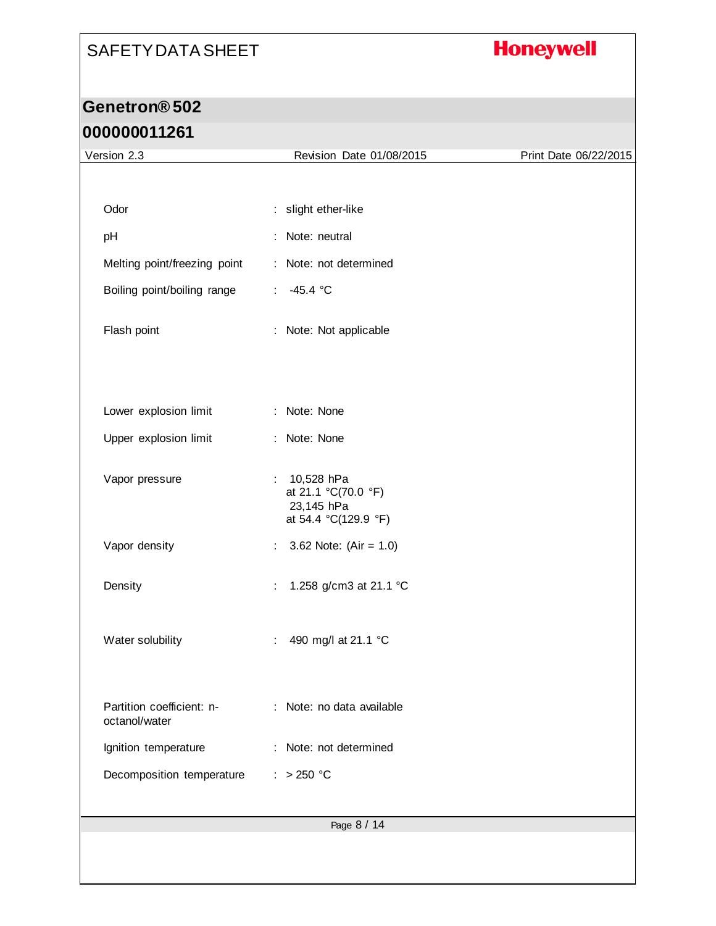# **Honeywell**

## **Genetron® 502 000000011261**

| Version 2.3                                | Revision Date 01/08/2015<br>Print Date 06/22/2015       |  |  |
|--------------------------------------------|---------------------------------------------------------|--|--|
|                                            |                                                         |  |  |
| Odor                                       | : slight ether-like                                     |  |  |
| pH                                         | : Note: neutral                                         |  |  |
| Melting point/freezing point               | : Note: not determined                                  |  |  |
| Boiling point/boiling range                | $-45.4 °C$<br>$\mathcal{L}_{\mathcal{A}}$               |  |  |
|                                            |                                                         |  |  |
| Flash point                                | : Note: Not applicable                                  |  |  |
|                                            |                                                         |  |  |
| Lower explosion limit                      | : Note: None                                            |  |  |
|                                            |                                                         |  |  |
| Upper explosion limit                      | : Note: None                                            |  |  |
| Vapor pressure                             | 10,528 hPa<br>$\mathbb{Z}^{\times}$                     |  |  |
|                                            | at 21.1 °C(70.0 °F)<br>23,145 hPa                       |  |  |
|                                            | at 54.4 °C(129.9 °F)                                    |  |  |
| Vapor density                              | 3.62 Note: $(Air = 1.0)$<br>$\mathcal{L}_{\mathcal{A}}$ |  |  |
| Density                                    | 1.258 g/cm3 at 21.1 °C<br>÷                             |  |  |
|                                            |                                                         |  |  |
| Water solubility                           | 490 mg/l at 21.1 °C<br>÷                                |  |  |
|                                            |                                                         |  |  |
|                                            |                                                         |  |  |
| Partition coefficient: n-<br>octanol/water | : Note: no data available                               |  |  |
| Ignition temperature                       | Note: not determined<br>÷                               |  |  |
| Decomposition temperature                  | $: >250$ °C                                             |  |  |
|                                            |                                                         |  |  |
|                                            | Page 8 / 14                                             |  |  |
|                                            |                                                         |  |  |
|                                            |                                                         |  |  |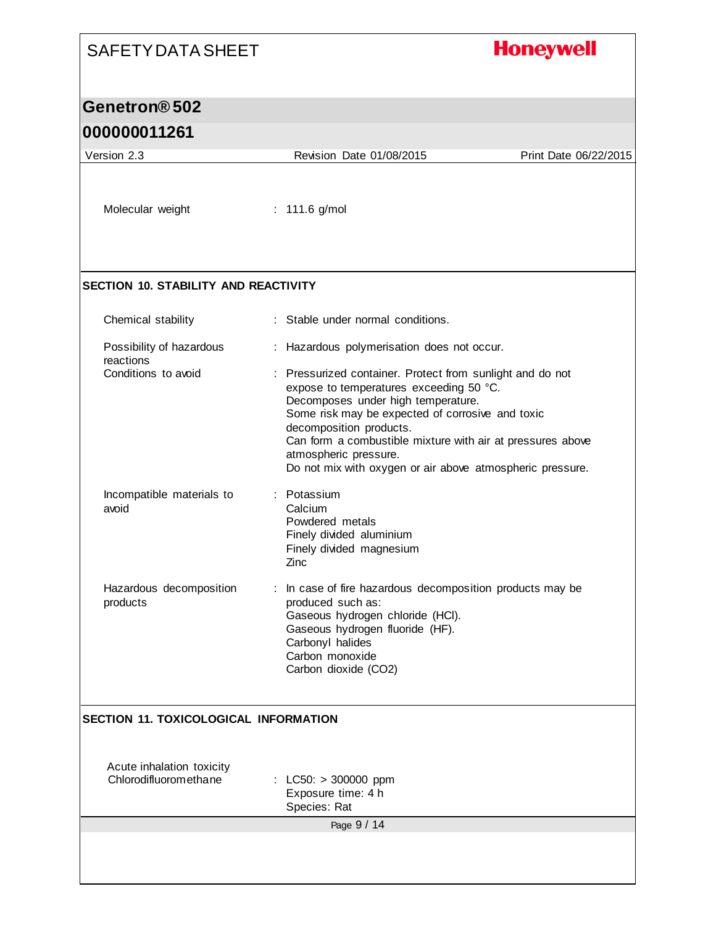# **Honeywell**

## **Genetron® 502**

#### **000000011261**

 $\mathsf{l}$ 

| Version 2.3                                        | Revision Date 01/08/2015                                                                                                                                                                                                                                                                                                                                                      | Print Date 06/22/2015 |
|----------------------------------------------------|-------------------------------------------------------------------------------------------------------------------------------------------------------------------------------------------------------------------------------------------------------------------------------------------------------------------------------------------------------------------------------|-----------------------|
|                                                    |                                                                                                                                                                                                                                                                                                                                                                               |                       |
| Molecular weight                                   | : $111.6$ g/mol                                                                                                                                                                                                                                                                                                                                                               |                       |
| <b>SECTION 10. STABILITY AND REACTIVITY</b>        |                                                                                                                                                                                                                                                                                                                                                                               |                       |
| Chemical stability                                 | : Stable under normal conditions.                                                                                                                                                                                                                                                                                                                                             |                       |
| Possibility of hazardous<br>reactions              | : Hazardous polymerisation does not occur.                                                                                                                                                                                                                                                                                                                                    |                       |
| Conditions to avoid                                | : Pressurized container. Protect from sunlight and do not<br>expose to temperatures exceeding 50 °C.<br>Decomposes under high temperature.<br>Some risk may be expected of corrosive and toxic<br>decomposition products.<br>Can form a combustible mixture with air at pressures above<br>atmospheric pressure.<br>Do not mix with oxygen or air above atmospheric pressure. |                       |
| Incompatible materials to<br>avoid                 | Potassium<br>Calcium<br>Powdered metals<br>Finely divided aluminium<br>Finely divided magnesium<br>Zinc                                                                                                                                                                                                                                                                       |                       |
| Hazardous decomposition<br>products                | : In case of fire hazardous decomposition products may be<br>produced such as:<br>Gaseous hydrogen chloride (HCI).<br>Gaseous hydrogen fluoride (HF).<br>Carbonyl halides<br>Carbon monoxide<br>Carbon dioxide (CO2)                                                                                                                                                          |                       |
| <b>SECTION 11. TOXICOLOGICAL INFORMATION</b>       |                                                                                                                                                                                                                                                                                                                                                                               |                       |
| Acute inhalation toxicity<br>Chlorodifluoromethane | : LC50: $> 300000$ ppm<br>Exposure time: 4 h<br>Species: Rat                                                                                                                                                                                                                                                                                                                  |                       |
|                                                    | Page 9 / 14                                                                                                                                                                                                                                                                                                                                                                   |                       |
|                                                    |                                                                                                                                                                                                                                                                                                                                                                               |                       |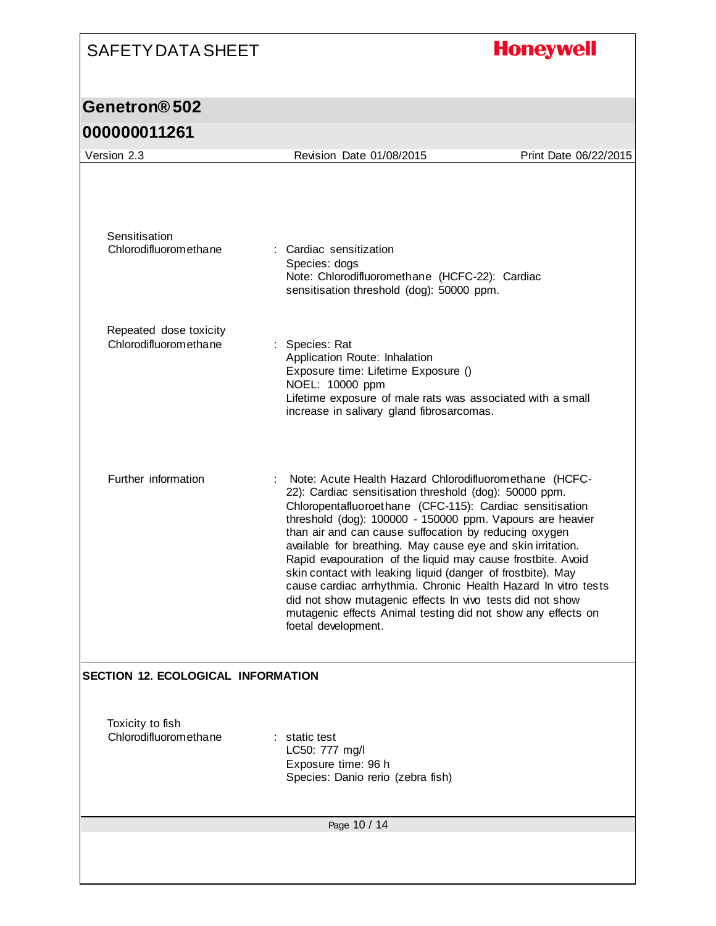# **Honeywell**

# **Genetron® 502**

| Version 2.3                                     | Revision Date 01/08/2015                                                                                                                                                                                                                                                                                                                                                                                                                                                                                                                                                                                                                                                                                              | Print Date 06/22/2015 |
|-------------------------------------------------|-----------------------------------------------------------------------------------------------------------------------------------------------------------------------------------------------------------------------------------------------------------------------------------------------------------------------------------------------------------------------------------------------------------------------------------------------------------------------------------------------------------------------------------------------------------------------------------------------------------------------------------------------------------------------------------------------------------------------|-----------------------|
| Sensitisation<br>Chlorodifluoromethane          | : Cardiac sensitization<br>Species: dogs<br>Note: Chlorodifluoromethane (HCFC-22): Cardiac<br>sensitisation threshold (dog): 50000 ppm.                                                                                                                                                                                                                                                                                                                                                                                                                                                                                                                                                                               |                       |
|                                                 |                                                                                                                                                                                                                                                                                                                                                                                                                                                                                                                                                                                                                                                                                                                       |                       |
| Repeated dose toxicity<br>Chlorodifluoromethane | : Species: Rat<br>Application Route: Inhalation<br>Exposure time: Lifetime Exposure ()<br>NOEL: 10000 ppm<br>Lifetime exposure of male rats was associated with a small<br>increase in salivary gland fibrosarcomas.                                                                                                                                                                                                                                                                                                                                                                                                                                                                                                  |                       |
| Further information                             | Note: Acute Health Hazard Chlorodifluoromethane (HCFC-<br>22): Cardiac sensitisation threshold (dog): 50000 ppm.<br>Chloropentafluoroethane (CFC-115): Cardiac sensitisation<br>threshold (dog): 100000 - 150000 ppm. Vapours are heavier<br>than air and can cause suffocation by reducing oxygen<br>available for breathing. May cause eye and skin irritation.<br>Rapid evapouration of the liquid may cause frostbite. Avoid<br>skin contact with leaking liquid (danger of frostbite). May<br>cause cardiac arrhythmia. Chronic Health Hazard In vitro tests<br>did not show mutagenic effects In vivo tests did not show<br>mutagenic effects Animal testing did not show any effects on<br>foetal development. |                       |
| <b>SECTION 12. ECOLOGICAL INFORMATION</b>       |                                                                                                                                                                                                                                                                                                                                                                                                                                                                                                                                                                                                                                                                                                                       |                       |
| Toxicity to fish<br>Chlorodifluoromethane       | : static test<br>LC50: 777 mg/l<br>Exposure time: 96 h<br>Species: Danio rerio (zebra fish)                                                                                                                                                                                                                                                                                                                                                                                                                                                                                                                                                                                                                           |                       |
|                                                 | Page 10 / 14                                                                                                                                                                                                                                                                                                                                                                                                                                                                                                                                                                                                                                                                                                          |                       |
|                                                 |                                                                                                                                                                                                                                                                                                                                                                                                                                                                                                                                                                                                                                                                                                                       |                       |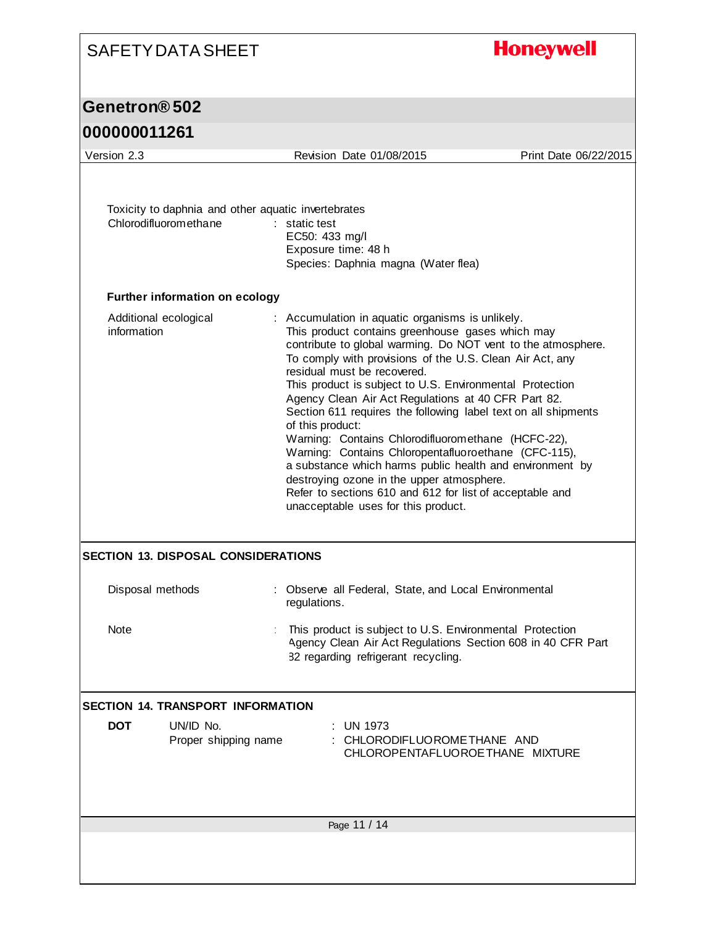# **Honeywell**

#### **Genetron® 502**

| Version 2.3                                                                  | Revision Date 01/08/2015                                                                                                                                                                                                                                                                                                                                                                                                                                                                                                                                                                                                                                                                                                                                                                           | Print Date 06/22/2015 |
|------------------------------------------------------------------------------|----------------------------------------------------------------------------------------------------------------------------------------------------------------------------------------------------------------------------------------------------------------------------------------------------------------------------------------------------------------------------------------------------------------------------------------------------------------------------------------------------------------------------------------------------------------------------------------------------------------------------------------------------------------------------------------------------------------------------------------------------------------------------------------------------|-----------------------|
| Toxicity to daphnia and other aquatic invertebrates<br>Chlorodifluoromethane | $:$ static test<br>EC50: 433 mg/l<br>Exposure time: 48 h<br>Species: Daphnia magna (Water flea)                                                                                                                                                                                                                                                                                                                                                                                                                                                                                                                                                                                                                                                                                                    |                       |
| <b>Further information on ecology</b>                                        |                                                                                                                                                                                                                                                                                                                                                                                                                                                                                                                                                                                                                                                                                                                                                                                                    |                       |
| Additional ecological<br>information                                         | : Accumulation in aquatic organisms is unlikely.<br>This product contains greenhouse gases which may<br>contribute to global warming. Do NOT vent to the atmosphere.<br>To comply with provisions of the U.S. Clean Air Act, any<br>residual must be recovered.<br>This product is subject to U.S. Environmental Protection<br>Agency Clean Air Act Regulations at 40 CFR Part 82.<br>Section 611 requires the following label text on all shipments<br>of this product:<br>Warning: Contains Chlorodifluoromethane (HCFC-22),<br>Warning: Contains Chloropentafluoroethane (CFC-115),<br>a substance which harms public health and environment by<br>destroying ozone in the upper atmosphere.<br>Refer to sections 610 and 612 for list of acceptable and<br>unacceptable uses for this product. |                       |
| <b>SECTION 13. DISPOSAL CONSIDERATIONS</b>                                   |                                                                                                                                                                                                                                                                                                                                                                                                                                                                                                                                                                                                                                                                                                                                                                                                    |                       |
| Disposal methods                                                             | Observe all Federal, State, and Local Environmental<br>regulations.                                                                                                                                                                                                                                                                                                                                                                                                                                                                                                                                                                                                                                                                                                                                |                       |
| Note                                                                         | This product is subject to U.S. Environmental Protection<br>Agency Clean Air Act Regulations Section 608 in 40 CFR Part<br>82 regarding refrigerant recycling.                                                                                                                                                                                                                                                                                                                                                                                                                                                                                                                                                                                                                                     |                       |
| <b>SECTION 14. TRANSPORT INFORMATION</b>                                     |                                                                                                                                                                                                                                                                                                                                                                                                                                                                                                                                                                                                                                                                                                                                                                                                    |                       |
| <b>DOT</b><br>UN/ID No.<br>Proper shipping name                              | UN 1973<br>CHLORODIFLUOROMETHANE AND<br>CHLOROPENTAFLUOROETHANE MIXTURE                                                                                                                                                                                                                                                                                                                                                                                                                                                                                                                                                                                                                                                                                                                            |                       |
|                                                                              | Page 11 / 14                                                                                                                                                                                                                                                                                                                                                                                                                                                                                                                                                                                                                                                                                                                                                                                       |                       |
|                                                                              |                                                                                                                                                                                                                                                                                                                                                                                                                                                                                                                                                                                                                                                                                                                                                                                                    |                       |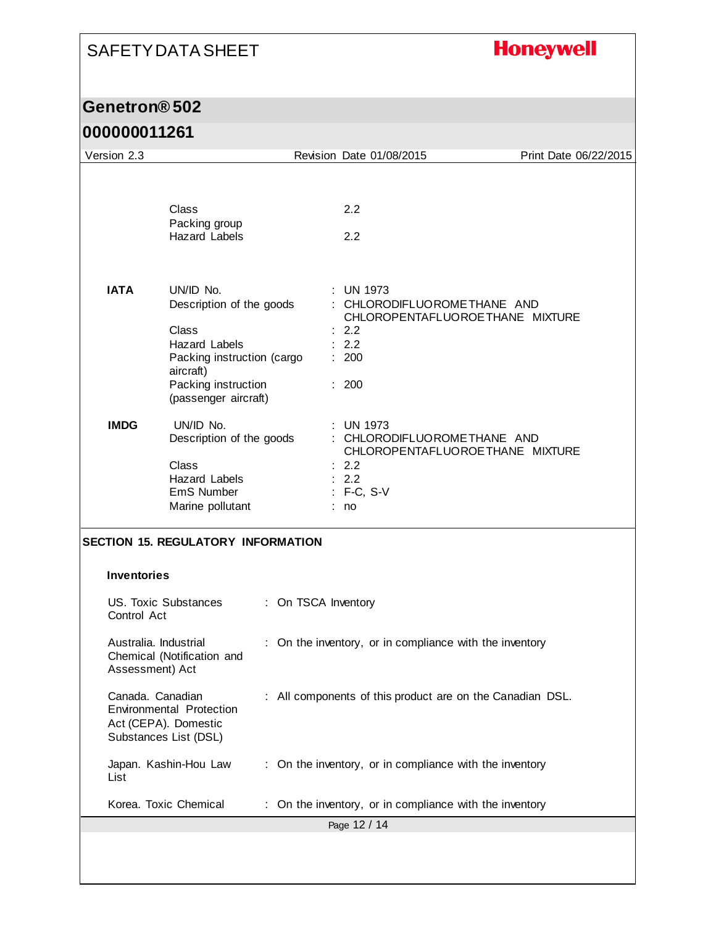# **Honeywell**

#### **Genetron® 502**

| Version 2.3                                                       |                                                                                                                                                                  |                     | Revision Date 01/08/2015                                                                                             | Print Date 06/22/2015 |
|-------------------------------------------------------------------|------------------------------------------------------------------------------------------------------------------------------------------------------------------|---------------------|----------------------------------------------------------------------------------------------------------------------|-----------------------|
|                                                                   |                                                                                                                                                                  |                     |                                                                                                                      |                       |
|                                                                   | Class<br>Packing group<br><b>Hazard Labels</b>                                                                                                                   |                     | 2.2<br>2.2                                                                                                           |                       |
| <b>IATA</b>                                                       | UN/ID No.<br>Description of the goods<br>Class<br><b>Hazard Labels</b><br>Packing instruction (cargo<br>aircraft)<br>Packing instruction<br>(passenger aircraft) |                     | <b>UN 1973</b><br>CHLORODIFLUOROMETHANE AND<br>CHLOROPENTAFLUOROETHANE MIXTURE<br>2.2<br>: 2.2<br>: 200<br>: 200     |                       |
| <b>IMDG</b>                                                       | UN/ID No.<br>Description of the goods<br>Class<br><b>Hazard Labels</b><br>EmS Number<br>Marine pollutant                                                         |                     | <b>UN 1973</b><br>: CHLORODIFLUOROMETHANE AND<br>CHLOROPENTAFLUOROETHANE MIXTURE<br>2.2<br>: 2.2<br>: F-C, S-V<br>no |                       |
|                                                                   | <b>SECTION 15. REGULATORY INFORMATION</b>                                                                                                                        |                     |                                                                                                                      |                       |
| <b>Inventories</b>                                                |                                                                                                                                                                  |                     |                                                                                                                      |                       |
| Control Act                                                       | US. Toxic Substances                                                                                                                                             | : On TSCA Inventory |                                                                                                                      |                       |
| Australia. Industrial<br>Assessment) Act                          | Chemical (Notification and                                                                                                                                       |                     | : On the inventory, or in compliance with the inventory                                                              |                       |
| Canada. Canadian<br>Act (CEPA). Domestic<br>Substances List (DSL) | <b>Environmental Protection</b>                                                                                                                                  |                     | : All components of this product are on the Canadian DSL.                                                            |                       |
| List                                                              | Japan. Kashin-Hou Law                                                                                                                                            |                     | : On the inventory, or in compliance with the inventory                                                              |                       |
|                                                                   | Korea. Toxic Chemical                                                                                                                                            |                     | On the inventory, or in compliance with the inventory                                                                |                       |
|                                                                   |                                                                                                                                                                  |                     | Page 12 / 14                                                                                                         |                       |
|                                                                   |                                                                                                                                                                  |                     |                                                                                                                      |                       |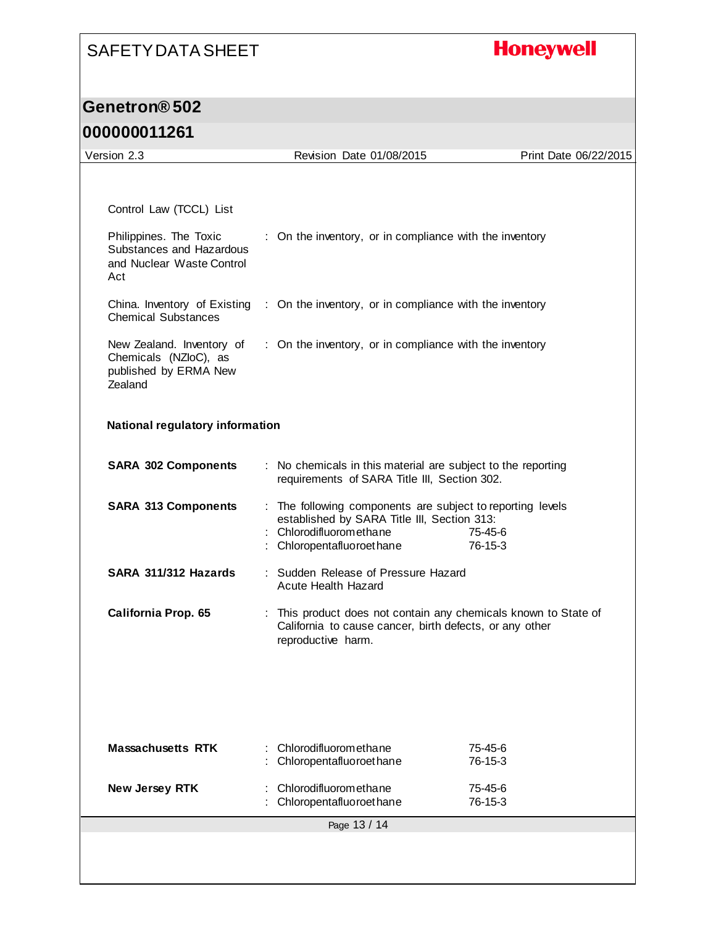# **Honeywell**

#### **Genetron® 502**

| Version 2.3                                                                            | Revision Date 01/08/2015                                                                                                                                          | Print Date 06/22/2015    |
|----------------------------------------------------------------------------------------|-------------------------------------------------------------------------------------------------------------------------------------------------------------------|--------------------------|
|                                                                                        |                                                                                                                                                                   |                          |
|                                                                                        |                                                                                                                                                                   |                          |
| Control Law (TCCL) List                                                                |                                                                                                                                                                   |                          |
| Philippines. The Toxic<br>Substances and Hazardous<br>and Nuclear Waste Control<br>Act | : On the inventory, or in compliance with the inventory                                                                                                           |                          |
| <b>Chemical Substances</b>                                                             | China. Inventory of Existing : On the inventory, or in compliance with the inventory                                                                              |                          |
| New Zealand. Inventory of<br>Chemicals (NZloC), as<br>published by ERMA New<br>Zealand | : On the inventory, or in compliance with the inventory                                                                                                           |                          |
| <b>National regulatory information</b>                                                 |                                                                                                                                                                   |                          |
| <b>SARA 302 Components</b>                                                             | : No chemicals in this material are subject to the reporting<br>requirements of SARA Title III, Section 302.                                                      |                          |
| <b>SARA 313 Components</b>                                                             | : The following components are subject to reporting levels<br>established by SARA Title III, Section 313:<br>: Chlorodifluoromethane<br>: Chloropentafluoroethane | 75-45-6<br>76-15-3       |
| SARA 311/312 Hazards                                                                   | : Sudden Release of Pressure Hazard<br><b>Acute Health Hazard</b>                                                                                                 |                          |
| <b>California Prop. 65</b>                                                             | : This product does not contain any chemicals known to State of<br>California to cause cancer, birth defects, or any other<br>reproductive harm.                  |                          |
|                                                                                        |                                                                                                                                                                   |                          |
| <b>Massachusetts RTK</b>                                                               | Chlorodifluoromethane<br>Chloropentafluoroethane                                                                                                                  | $75 - 45 - 6$<br>76-15-3 |
| New Jersey RTK                                                                         | Chlorodifluoromethane<br>Chloropentafluoroethane                                                                                                                  | 75-45-6<br>76-15-3       |
|                                                                                        | Page 13 / 14                                                                                                                                                      |                          |
|                                                                                        |                                                                                                                                                                   |                          |
|                                                                                        |                                                                                                                                                                   |                          |